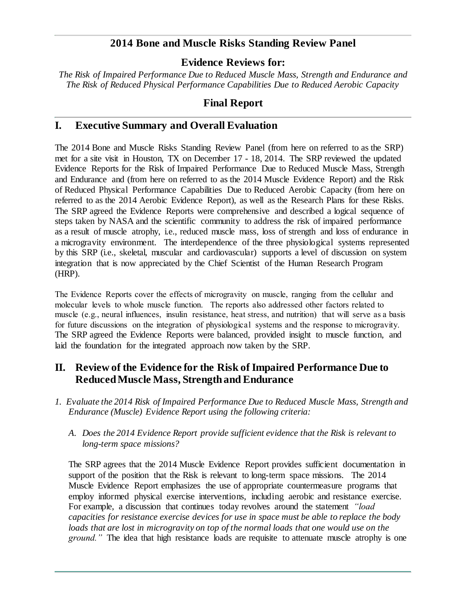# **2014 Bone and Muscle Risks Standing Review Panel**

## **Evidence Reviews for:**

*The Risk of Impaired Performance Due to Reduced Muscle Mass, Strength and Endurance and The Risk of Reduced Physical Performance Capabilities Due to Reduced Aerobic Capacity*

# **Final Report**

## **I. Executive Summary and Overall Evaluation**

The 2014 Bone and Muscle Risks Standing Review Panel (from here on referred to as the SRP) met for a site visit in Houston, TX on December 17 - 18, 2014. The SRP reviewed the updated Evidence Reports for the Risk of Impaired Performance Due to Reduced Muscle Mass, Strength and Endurance and (from here on referred to as the 2014 Muscle Evidence Report) and the Risk of Reduced Physical Performance Capabilities Due to Reduced Aerobic Capacity (from here on referred to as the 2014 Aerobic Evidence Report), as well as the Research Plans for these Risks. The SRP agreed the Evidence Reports were comprehensive and described a logical sequence of steps taken by NASA and the scientific community to address the risk of impaired performance as a result of muscle atrophy, i.e., reduced muscle mass, loss of strength and loss of endurance in a microgravity environment. The interdependence of the three physiological systems represented by this SRP (i.e., skeletal, muscular and cardiovascular) supports a level of discussion on system integration that is now appreciated by the Chief Scientist of the Human Research Program (HRP).

The Evidence Reports cover the effects of microgravity on muscle, ranging from the cellular and molecular levels to whole muscle function. The reports also addressed other factors related to muscle (e.g., neural influences, insulin resistance, heat stress, and nutrition) that will serve as a basis for future discussions on the integration of physiological systems and the response to microgravity. The SRP agreed the Evidence Reports were balanced, provided insight to muscle function, and laid the foundation for the integrated approach now taken by the SRP.

# **II. Review of the Evidence for the Risk of Impaired Performance Due to Reduced Muscle Mass, Strength and Endurance**

- *1. Evaluate the 2014 Risk of Impaired Performance Due to Reduced Muscle Mass, Strength and Endurance (Muscle) Evidence Report using the following criteria:*
	- *A. Does the 2014 Evidence Report provide sufficient evidence that the Risk is relevant to long-term space missions?*

The SRP agrees that the 2014 Muscle Evidence Report provides sufficient documentation in support of the position that the Risk is relevant to long-term space missions. The 2014 Muscle Evidence Report emphasizes the use of appropriate countermeasure programs that employ informed physical exercise interventions, including aerobic and resistance exercise. For example, a discussion that continues today revolves around the statement *"load capacities for resistance exercise devices for use in space must be able to replace the body*  loads *that are lost in microgravity on top of the normal loads that one would use on the ground."* The idea that high resistance loads are requisite to attenuate muscle atrophy is one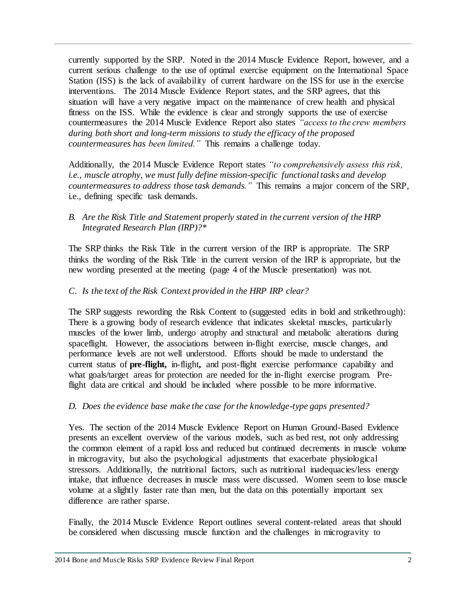currently supported by the SRP. Noted in the 2014 Muscle Evidence Report, however, and a current serious challenge to the use of optimal exercise equipment on the International Space Station (ISS) is the lack of availability of current hardware on the ISS for use in the exercise interventions. The 2014 Muscle Evidence Report states, and the SRP agrees, that this situation will have a very negative impact on the maintenance of crew health and physical fitness on the ISS. While the evidence is clear and strongly supports the use of exercise countermeasures the 2014 Muscle Evidence Report also states *"access to the crew members during both short and long-term missions to study the efficacy of the proposed countermeasures has been limited."* This remains a challenge today.

Additionally, the 2014 Muscle Evidence Report states *"to comprehensively assess this risk, i.e., muscle atrophy, we must fully define mission-specific functional tasks and develop countermeasures to address those task demands."* This remains a major concern of the SRP, i.e., defining specific task demands.

## *B. Are the Risk Title and Statement properly stated in the current version of the HRP Integrated Research Plan (IRP)?\**

The SRP thinks the Risk Title in the current version of the IRP is appropriate. The SRP thinks the wording of the Risk Title in the current version of the IRP is appropriate, but the new wording presented at the meeting (page 4 of the Muscle presentation) was not.

## *C. Is the text of the Risk Context provided in the HRP IRP clear?*

The SRP suggests rewording the Risk Content to (suggested edits in bold and strikethrough): There is a growing body of research evidence that indicates skeletal muscles, particularly muscles of the lower limb, undergo atrophy and structural and metabolic alterations during spaceflight. However, the associations between in-flight exercise, muscle changes, and performance levels are not well understood. Efforts should be made to understand the current status of **pre-flight,** in-flight**,** and post-flight exercise performance capability and what goals/target areas for protection are needed for the in-flight exercise program. Preflight data are critical and should be included where possible to be more informative.

### *D. Does the evidence base make the case for the knowledge-type gaps presented?*

Yes. The section of the 2014 Muscle Evidence Report on Human Ground-Based Evidence presents an excellent overview of the various models, such as bed rest, not only addressing the common element of a rapid loss and reduced but continued decrements in muscle volume in microgravity, but also the psychological adjustments that exacerbate physiological stressors. Additionally, the nutritional factors, such as nutritional inadequacies/less energy intake, that influence decreases in muscle mass were discussed. Women seem to lose muscle volume at a slightly faster rate than men, but the data on this potentially important sex difference are rather sparse.

Finally, the 2014 Muscle Evidence Report outlines several content-related areas that should be considered when discussing muscle function and the challenges in microgravity to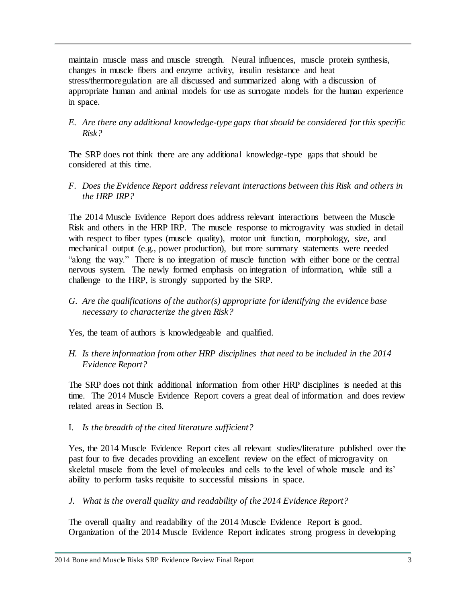maintain muscle mass and muscle strength. Neural influences, muscle protein synthesis, changes in muscle fibers and enzyme activity, insulin resistance and heat stress/thermoregulation are all discussed and summarized along with a discussion of appropriate human and animal models for use as surrogate models for the human experience in space.

*E. Are there any additional knowledge-type gaps that should be considered for this specific Risk?*

The SRP does not think there are any additional knowledge-type gaps that should be considered at this time.

*F. Does the Evidence Report address relevant interactions between this Risk and others in the HRP IRP?*

The 2014 Muscle Evidence Report does address relevant interactions between the Muscle Risk and others in the HRP IRP. The muscle response to microgravity was studied in detail with respect to fiber types (muscle quality), motor unit function, morphology, size, and mechanical output (e.g., power production), but more summary statements were needed "along the way." There is no integration of muscle function with either bone or the central nervous system. The newly formed emphasis on integration of information, while still a challenge to the HRP, is strongly supported by the SRP.

*G. Are the qualifications of the author(s) appropriate for identifying the evidence base necessary to characterize the given Risk?*

Yes, the team of authors is knowledgeable and qualified.

*H. Is there information from other HRP disciplines that need to be included in the 2014 Evidence Report?*

The SRP does not think additional information from other HRP disciplines is needed at this time. The 2014 Muscle Evidence Report covers a great deal of information and does review related areas in Section B.

I. *Is the breadth of the cited literature sufficient?*

Yes, the 2014 Muscle Evidence Report cites all relevant studies/literature published over the past four to five decades providing an excellent review on the effect of microgravity on skeletal muscle from the level of molecules and cells to the level of whole muscle and its' ability to perform tasks requisite to successful missions in space.

*J. What is the overall quality and readability of the 2014 Evidence Report?*

The overall quality and readability of the 2014 Muscle Evidence Report is good. Organization of the 2014 Muscle Evidence Report indicates strong progress in developing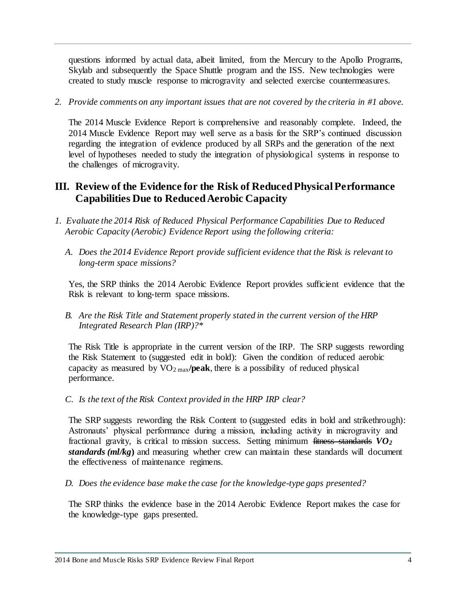questions informed by actual data, albeit limited, from the Mercury to the Apollo Programs, Skylab and subsequently the Space Shuttle program and the ISS. New technologies were created to study muscle response to microgravity and selected exercise countermeasures.

*2. Provide comments on any important issues that are not covered by the criteria in #1 above.*

The 2014 Muscle Evidence Report is comprehensive and reasonably complete. Indeed, the 2014 Muscle Evidence Report may well serve as a basis for the SRP's continued discussion regarding the integration of evidence produced by all SRPs and the generation of the next level of hypotheses needed to study the integration of physiological systems in response to the challenges of microgravity.

# **III. Review of the Evidence for the Risk of Reduced Physical Performance Capabilities Due to Reduced Aerobic Capacity**

- *1. Evaluate the 2014 Risk of Reduced Physical Performance Capabilities Due to Reduced Aerobic Capacity (Aerobic) Evidence Report using the following criteria:*
	- *A. Does the 2014 Evidence Report provide sufficient evidence that the Risk is relevant to long-term space missions?*

Yes, the SRP thinks the 2014 Aerobic Evidence Report provides sufficient evidence that the Risk is relevant to long-term space missions.

*B. Are the Risk Title and Statement properly stated in the current version of the HRP Integrated Research Plan (IRP)?\**

The Risk Title is appropriate in the current version of the IRP. The SRP suggests rewording the Risk Statement to (suggested edit in bold): Given the condition of reduced aerobic capacity as measured by  $VO<sub>2 max</sub>$ /**peak**, there is a possibility of reduced physical performance.

*C. Is the text of the Risk Context provided in the HRP IRP clear?*

The SRP suggests rewording the Risk Content to (suggested edits in bold and strikethrough): Astronauts' physical performance during a mission, including activity in microgravity and fractional gravity, is critical to mission success. Setting minimum fitness standards *VO<sup>2</sup> standards (ml/kg***)** and measuring whether crew can maintain these standards will document the effectiveness of maintenance regimens.

*D. Does the evidence base make the case for the knowledge-type gaps presented?*

The SRP thinks the evidence base in the 2014 Aerobic Evidence Report makes the case for the knowledge-type gaps presented.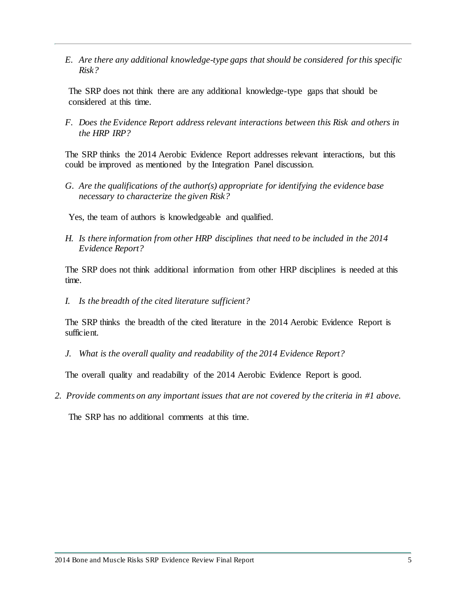*E. Are there any additional knowledge-type gaps that should be considered for this specific Risk?*

The SRP does not think there are any additional knowledge-type gaps that should be considered at this time.

*F. Does the Evidence Report address relevant interactions between this Risk and others in the HRP IRP?*

The SRP thinks the 2014 Aerobic Evidence Report addresses relevant interactions, but this could be improved as mentioned by the Integration Panel discussion.

*G. Are the qualifications of the author(s) appropriate for identifying the evidence base necessary to characterize the given Risk?*

Yes, the team of authors is knowledgeable and qualified.

*H. Is there information from other HRP disciplines that need to be included in the 2014 Evidence Report?*

The SRP does not think additional information from other HRP disciplines is needed at this time.

*I. Is the breadth of the cited literature sufficient?*

The SRP thinks the breadth of the cited literature in the 2014 Aerobic Evidence Report is sufficient.

*J. What is the overall quality and readability of the 2014 Evidence Report?*

The overall quality and readability of the 2014 Aerobic Evidence Report is good.

*2. Provide comments on any important issues that are not covered by the criteria in #1 above.*

The SRP has no additional comments at this time.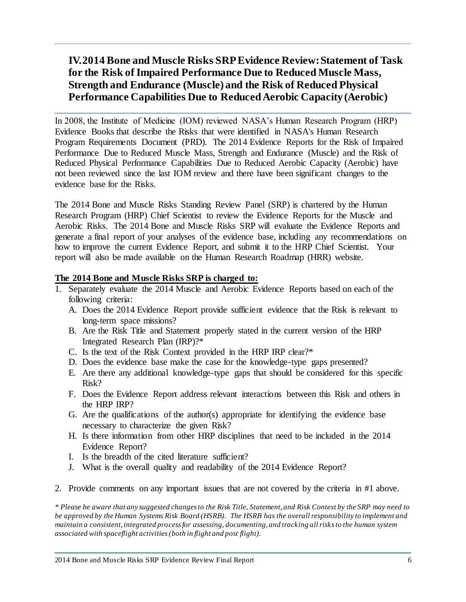# **IV.2014 Bone and Muscle Risks SRP Evidence Review: Statement of Task for the Risk of Impaired Performance Due to Reduced Muscle Mass, Strength and Endurance (Muscle) and the Risk of Reduced Physical Performance Capabilities Due to Reduced Aerobic Capacity (Aerobic)**

In 2008, the Institute of Medicine (IOM) reviewed NASA's Human Research Program (HRP) Evidence Books that describe the Risks that were identified in NASA's Human Research Program Requirements Document (PRD). The 2014 Evidence Reports for the Risk of Impaired Performance Due to Reduced Muscle Mass, Strength and Endurance (Muscle) and the Risk of Reduced Physical Performance Capabilities Due to Reduced Aerobic Capacity (Aerobic) have not been reviewed since the last IOM review and there have been significant changes to the evidence base for the Risks.

The 2014 Bone and Muscle Risks Standing Review Panel (SRP) is chartered by the Human Research Program (HRP) Chief Scientist to review the Evidence Reports for the Muscle and Aerobic Risks. The 2014 Bone and Muscle Risks SRP will evaluate the Evidence Reports and generate a final report of your analyses of the evidence base, including any recommendations on how to improve the current Evidence Report, and submit it to the HRP Chief Scientist. Your report will also be made available on the Human Research Roadmap (HRR) website.

### **The 2014 Bone and Muscle Risks SRP is charged to:**

- 1. Separately evaluate the 2014 Muscle and Aerobic Evidence Reports based on each of the following criteria:
	- A. Does the 2014 Evidence Report provide sufficient evidence that the Risk is relevant to long-term space missions?
	- B. Are the Risk Title and Statement properly stated in the current version of the HRP Integrated Research Plan (IRP)?\*
	- C. Is the text of the Risk Context provided in the HRP IRP clear?\*
	- D. Does the evidence base make the case for the knowledge-type gaps presented?
	- E. Are there any additional knowledge-type gaps that should be considered for this specific Risk?
	- F. Does the Evidence Report address relevant interactions between this Risk and others in the HRP IRP?
	- G. Are the qualifications of the author(s) appropriate for identifying the evidence base necessary to characterize the given Risk?
	- H. Is there information from other HRP disciplines that need to be included in the 2014 Evidence Report?
	- I. Is the breadth of the cited literature sufficient?
	- J. What is the overall quality and readability of the 2014 Evidence Report?
- 2. Provide comments on any important issues that are not covered by the criteria in #1 above.

*\* Please be aware that any suggested changes to the Risk Title, Statement, and Risk Context by the SRP may need to be approved by the Human Systems Risk Board (HSRB). The HSRB has the overall responsibility to implement and maintain a consistent, integrated process for assessing, documenting, and tracking all risks to the human system associated with spaceflight activities (both in flight and post flight).*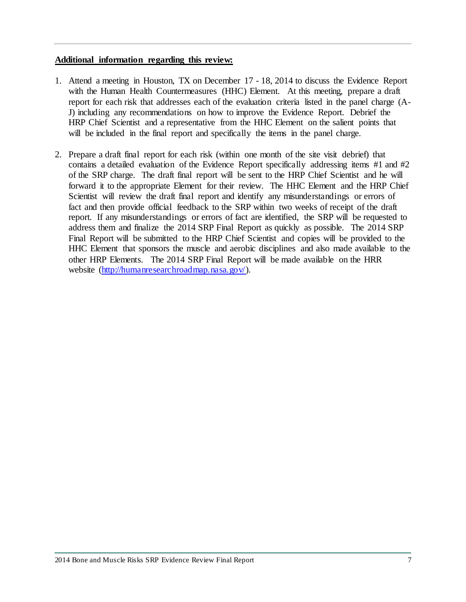#### **Additional information regarding this review:**

- 1. Attend a meeting in Houston, TX on December 17 18, 2014 to discuss the Evidence Report with the Human Health Countermeasures (HHC) Element. At this meeting, prepare a draft report for each risk that addresses each of the evaluation criteria listed in the panel charge (A-J) including any recommendations on how to improve the Evidence Report. Debrief the HRP Chief Scientist and a representative from the HHC Element on the salient points that will be included in the final report and specifically the items in the panel charge.
- 2. Prepare a draft final report for each risk (within one month of the site visit debrief) that contains a detailed evaluation of the Evidence Report specifically addressing items #1 and #2 of the SRP charge. The draft final report will be sent to the HRP Chief Scientist and he will forward it to the appropriate Element for their review. The HHC Element and the HRP Chief Scientist will review the draft final report and identify any misunderstandings or errors of fact and then provide official feedback to the SRP within two weeks of receipt of the draft report. If any misunderstandings or errors of fact are identified, the SRP will be requested to address them and finalize the 2014 SRP Final Report as quickly as possible. The 2014 SRP Final Report will be submitted to the HRP Chief Scientist and copies will be provided to the HHC Element that sponsors the muscle and aerobic disciplines and also made available to the other HRP Elements. The 2014 SRP Final Report will be made available on the HRR website [\(http://humanresearchroadmap.nasa.gov/\).](http://humanresearchroadmap.nasa.gov/)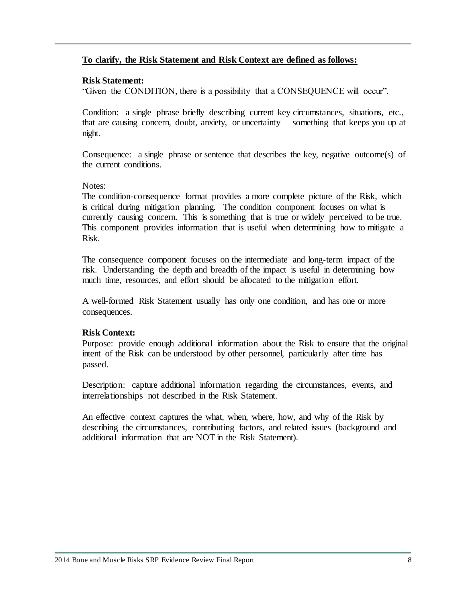### **To clarify, the Risk Statement and Risk Context are defined as follows:**

### **Risk Statement:**

"Given the CONDITION, there is a possibility that a CONSEQUENCE will occur".

Condition: a single phrase briefly describing current key circumstances, situations, etc., that are causing concern, doubt, anxiety, or uncertainty – something that keeps you up at night.

Consequence: a single phrase or sentence that describes the key, negative outcome(s) of the current conditions.

## Notes:

The condition-consequence format provides a more complete picture of the Risk, which is critical during mitigation planning. The condition component focuses on what is currently causing concern. This is something that is true or widely perceived to be true. This component provides information that is useful when determining how to mitigate a Risk.

The consequence component focuses on the intermediate and long-term impact of the risk. Understanding the depth and breadth of the impact is useful in determining how much time, resources, and effort should be allocated to the mitigation effort.

A well-formed Risk Statement usually has only one condition, and has one or more consequences.

## **Risk Context:**

Purpose: provide enough additional information about the Risk to ensure that the original intent of the Risk can be understood by other personnel, particularly after time has passed.

Description: capture additional information regarding the circumstances, events, and interrelationships not described in the Risk Statement.

An effective context captures the what, when, where, how, and why of the Risk by describing the circumstances, contributing factors, and related issues (background and additional information that are NOT in the Risk Statement).